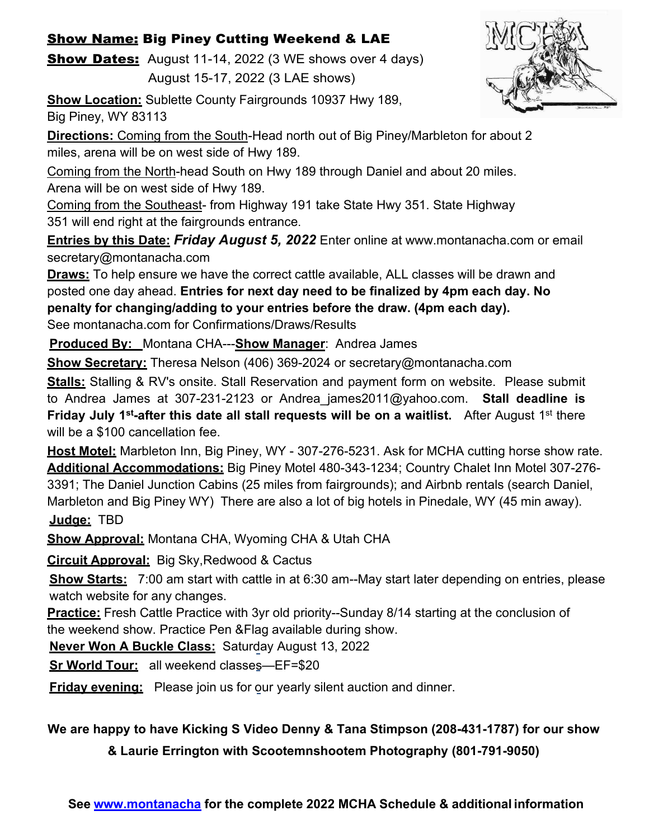## Show Name: Big Piney Cutting Weekend & LAE

**Show Dates:** August 11-14, 2022 (3 WE shows over 4 days)

August 15-17, 2022 (3 LAE shows)



**Show Location:** Sublette County Fairgrounds 10937 Hwy 189, Big Piney, WY 83113

**Directions:** Coming from the South-Head north out of Big Piney/Marbleton for about 2 miles, arena will be on west side of Hwy 189.

Coming from the North-head South on Hwy 189 through Daniel and about 20 miles. Arena will be on west side of Hwy 189.

Coming from the Southeast- from Highway 191 take State Hwy 351. State Highway 351 will end right at the fairgrounds entrance.

**Entries by this Date:** *Friday August 5, 2022* Enter online at [www.montanacha.com o](http://www.montanacha.com/)r email [secretary@montanacha.com](mailto:secretary@montanacha.com)

**Draws:** To help ensure we have the correct cattle available, ALL classes will be drawn and posted one day ahead. **Entries for next day need to be finalized by 4pm each day. No penalty for changing/adding to your entries before the draw. (4pm each day).** See montanacha.com for Confirmations/Draws/Results

**Produced By:** Montana CHA---**Show Manager**: Andrea James

**Show Secretary:** Theresa Nelson (406) 369-2024 or [secretary@montanacha.com](mailto:secretary@montanacha.com)

**Stalls:** Stalling & RV's onsite. Stall Reservation and payment form on website. Please submit to Andrea James at 307-231-2123 or [Andrea\\_james2011@yahoo.com.](mailto:Andrea_james2011@yahoo.com) **Stall deadline is Friday July 1st-after this date all stall requests will be on a waitlist.** After August 1st there will be a \$100 cancellation fee.

**Host Motel:** Marbleton Inn, Big Piney, WY - 307-276-5231. Ask for MCHA cutting horse show rate. **Additional Accommodations:** Big Piney Motel 480-343-1234; Country Chalet Inn Motel 307-276- 3391; The Daniel Junction Cabins (25 miles from fairgrounds); and Airbnb rentals (search Daniel, Marbleton and Big Piney WY) There are also a lot of big hotels in Pinedale, WY (45 min away). **Judge:** TBD

**Show Approval:** Montana CHA, Wyoming CHA & Utah CHA

**Circuit Approval:** Big Sky,Redwood & Cactus

**Show Starts:** 7:00 am start with cattle in at 6:30 am--May start later depending on entries, please watch website for any changes.

**Practice:** Fresh Cattle Practice with 3yr old priority--Sunday 8/14 starting at the conclusion of the weekend show. Practice Pen &Flag available during show.

**Never Won A Buckle Class:** Saturday August 13, 2022

**Sr World Tour:** all weekend classes—EF=\$20

**Friday evening:** Please join us for our yearly silent auction and dinner.

**We are happy to have Kicking S Video Denny & Tana Stimpson (208-431-1787) for our show**

**& Laurie Errington with Scootemnshootem Photography (801-791-9050)**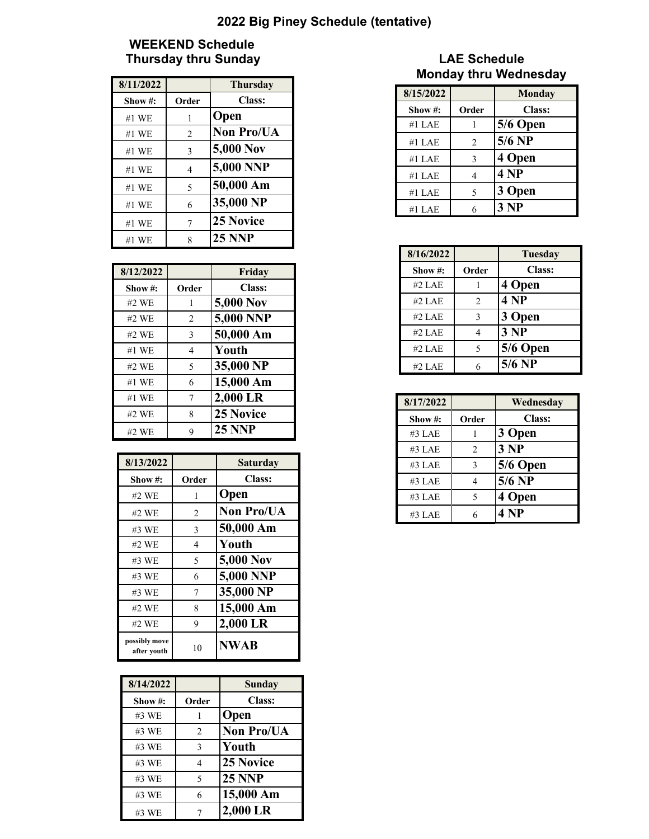## **2022 Big Piney Schedule (tentative)**

## **WEEKEND Schedule Thursday thru Sunday Community Community Community Community Community Community Community Community Community**

| 8/11/2022 |                | <b>Thursday</b>   |
|-----------|----------------|-------------------|
| Show#:    | Order          | Class:            |
| #1 WE     | 1              | Open              |
| $#1$ WE   | $\overline{2}$ | <b>Non Pro/UA</b> |
| #1 WE     | 3              | 5,000 Nov         |
| #1 WE     | 4              | 5,000 NNP         |
| #1 WE     | 5              | 50,000 Am         |
| #1 WE     | 6              | 35,000 NP         |
| #1 WE     | 7              | 25 Novice         |
| $#1$ WE   | 8              | <b>25 NNP</b>     |

| 8/12/2022 |                | Friday           |
|-----------|----------------|------------------|
| Show#:    | Order          | Class:           |
| #2 WE     | 1              | 5,000 Nov        |
| #2 WE     | $\overline{2}$ | 5,000 NNP        |
| #2 WE     | 3              | 50,000 Am        |
| #1 WE     | $\overline{4}$ | Youth            |
| #2 WE     | 5              | 35,000 NP        |
| #1 WE     | 6              | 15,000 Am        |
| $#1$ WE   | 7              | 2,000 LR         |
| #2 WE     | 8              | <b>25 Novice</b> |
| #2 WE     | 9              | <b>25 NNP</b>    |

| 8/13/2022                    |                | <b>Saturday</b>   |
|------------------------------|----------------|-------------------|
| Show#:                       | Order          | Class:            |
| #2 WE                        | 1              | <b>Open</b>       |
| #2 WE                        | $\overline{2}$ | <b>Non Pro/UA</b> |
| #3 WE                        | 3              | 50,000 Am         |
| #2 WE                        | 4              | Youth             |
| $#3$ WE                      | 5              | 5,000 Nov         |
| $#3$ WE                      | 6              | 5,000 NNP         |
| $#3$ WE                      | 7              | 35,000 NP         |
| #2 WE                        | 8              | 15,000 Am         |
| #2 WE                        | 9              | 2,000 LR          |
| possibly move<br>after youth | 10             | <b>NWAB</b>       |

| 8/14/2022 |                | Sunday            |
|-----------|----------------|-------------------|
| Show#:    | Order          | <b>Class:</b>     |
| #3 WE     |                | Open              |
| #3 WE     | $\overline{2}$ | <b>Non Pro/UA</b> |
| #3 WE     | $\mathbf{3}$   | Youth             |
| #3 WE     | $\overline{4}$ | <b>25 Novice</b>  |
| #3 WE     | 5              | <b>25 NNP</b>     |
| #3 WE     | 6              | 15,000 Am         |
| #3 WE     | 7              | 2,000 LR          |

## **Monday thru Wednesday**

| 8/15/2022  |       | <b>Monday</b> |
|------------|-------|---------------|
| Show $#$ : | Order | Class:        |
| $#1$ LAE   |       | 5/6 Open      |
| $#1$ LAE   | 2     | $5/6$ NP      |
| $#1$ LAE   | 3     | 4 Open        |
| $#1$ LAE   | 4     | 4 NP          |
| $#1$ LAE   | 5     | 3 Open        |
| #1 LAE     |       | 3 NP          |

| 8/16/2022 |                | Tuesday       |
|-----------|----------------|---------------|
| Show#:    | Order          | <b>Class:</b> |
| #2 LAE    |                | 4 Open        |
| $#2$ LAE  | $\overline{2}$ | 4 NP          |
| $#2$ LAE  | $\mathbf{3}$   | 3 Open        |
| $#2$ LAE  | 4              | 3 NP          |
| #2 LAE    | 5              | 5/6 Open      |
| #2 LAE    | 6              | $5/6$ NP      |

| 8/17/2022 |       | Wednesday |
|-----------|-------|-----------|
| Show#:    | Order | Class:    |
| #3 LAE    |       | 3 Open    |
| #3 LAE    | 2     | 3 NP      |
| #3 LAE    | 3     | 5/6 Open  |
| #3 LAE    | 4     | $5/6$ NP  |
| #3 LAE    | 5     | 4 Open    |
| #3 LAE    | 6     | 4 NP      |